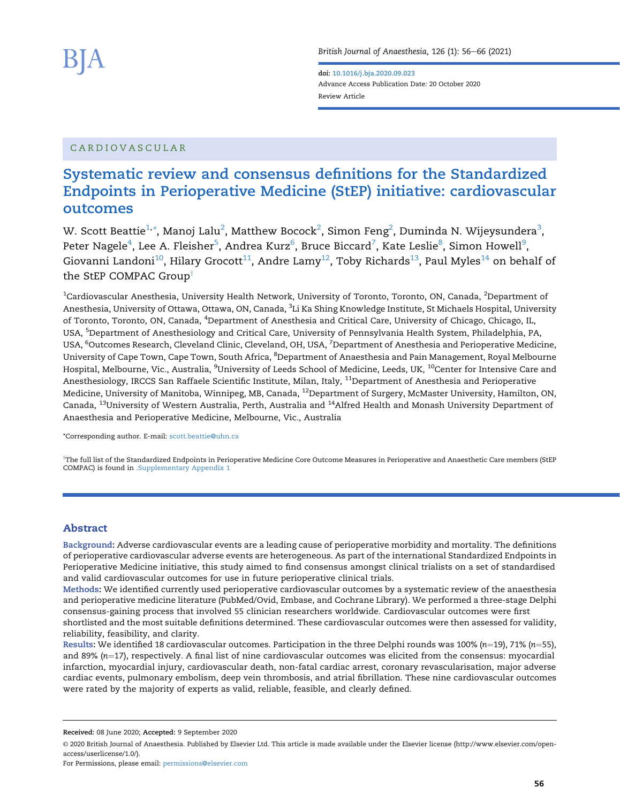doi: [10.1016/j.bja.2020.09.023](https://doi.org/10.1016/j.bja.2020.09.023) Advance Access Publication Date: 20 October 2020 Review Article

## CARDIOVASCULAR

# Systematic review and consensus definitions for the Standardized Endpoints in Perioperative Medicine (StEP) initiative: cardiovascular outcomes

W. Scott Beattie $^{1,*}$  $^{1,*}$  $^{1,*}$ , Manoj Lalu $^2$  $^2$ , Matthew Bocock $^2$ , Simon Feng $^2$ , Duminda N. Wijeysundera $^3$  $^3$ , Peter Nagele $^4$  $^4$ , Lee A. Fleisher $^5$  $^5$ , Andrea Kurz $^6$  $^6$ , Bruce Biccard $^7$  $^7$ , Kate Leslie $^8$  $^8$ , Simon Howell $^9$  $^9$ , Giovanni Landoni<sup>10</sup>, Hilary Grocott<sup>[11](#page-0-7)</sup>, Andre Lamy<sup>12</sup>, Toby Richards<sup>13</sup>, Paul Myles<sup>14</sup> on behalf of the StEP COMPAC Group<sup>†</sup>

<span id="page-0-5"></span><span id="page-0-4"></span><span id="page-0-3"></span><span id="page-0-2"></span><span id="page-0-1"></span><span id="page-0-0"></span> $^{\rm 1}$ Cardiovascular Anesthesia, University Health Network, University of Toronto, Toronto, ON, Canada,  $^{\rm 2}$ Department of Anesthesia, University of Ottawa, Ottawa, ON, Canada, <sup>3</sup>Li Ka Shing Knowledge Institute, St Michaels Hospital, University of Toronto, Toronto, ON, Canada, <sup>4</sup>Department of Anesthesia and Critical Care, University of Chicago, Chicago, IL, USA, <sup>5</sup>Department of Anesthesiology and Critical Care, University of Pennsylvania Health System, Philadelphia, PA, USA, <sup>6</sup>Outcomes Research, Cleveland Clinic, Cleveland, OH, USA, <sup>7</sup>Department of Anesthesia and Perioperative Medicine, University of Cape Town, Cape Town, South Africa, <sup>8</sup>Department of Anaesthesia and Pain Management, Royal Melbourne Hospital, Melbourne, Vic., Australia, <sup>9</sup>University of Leeds School of Medicine, Leeds, UK, <sup>10</sup>Center for Intensive Care and Anesthesiology, IRCCS San Raffaele Scientific Institute, Milan, Italy, <sup>11</sup>Department of Anesthesia and Perioperative Medicine, University of Manitoba, Winnipeg, MB, Canada, 12Department of Surgery, McMaster University, Hamilton, ON, Canada, 13University of Western Australia, Perth, Australia and 14Alfred Health and Monash University Department of Anaesthesia and Perioperative Medicine, Melbourne, Vic., Australia

<span id="page-0-9"></span><span id="page-0-8"></span><span id="page-0-7"></span><span id="page-0-6"></span>\*Corresponding author. E-mail: scott.beattie@uhn.ca

'The full list of the Standardized Endpoints in Perioperative Medicine Core Outcome Measures in Perioperative and Anaesthetic Care members (StEP COMPAC) is found in .Supplementary Appendix 1

## Abstract

Background: Adverse cardiovascular events are a leading cause of perioperative morbidity and mortality. The definitions of perioperative cardiovascular adverse events are heterogeneous. As part of the international Standardized Endpoints in Perioperative Medicine initiative, this study aimed to find consensus amongst clinical trialists on a set of standardised and valid cardiovascular outcomes for use in future perioperative clinical trials.

Methods: We identified currently used perioperative cardiovascular outcomes by a systematic review of the anaesthesia and perioperative medicine literature (PubMed/Ovid, Embase, and Cochrane Library). We performed a three-stage Delphi consensus-gaining process that involved 55 clinician researchers worldwide. Cardiovascular outcomes were first shortlisted and the most suitable definitions determined. These cardiovascular outcomes were then assessed for validity,

reliability, feasibility, and clarity.

Results: We identified 18 cardiovascular outcomes. Participation in the three Delphi rounds was 100% (n=19), 71% (n=55), and 89%  $(n=17)$ , respectively. A final list of nine cardiovascular outcomes was elicited from the consensus: myocardial infarction, myocardial injury, cardiovascular death, non-fatal cardiac arrest, coronary revascularisation, major adverse cardiac events, pulmonary embolism, deep vein thrombosis, and atrial fibrillation. These nine cardiovascular outcomes were rated by the majority of experts as valid, reliable, feasible, and clearly defined.

Received: 08 June 2020; Accepted: 9 September 2020

For Permissions, please email: [permissions@elsevier.com](mailto:permissions@elsevier.com)

<sup>©</sup> 2020 British Journal of Anaesthesia. Published by Elsevier Ltd. This article is made available under the Elsevier license (http://www.elsevier.com/openaccess/userlicense/1.0/).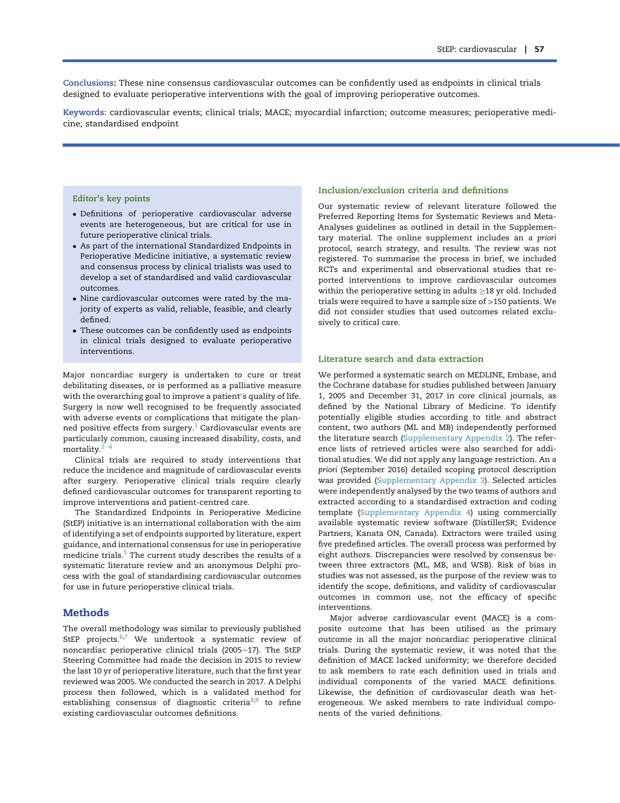Conclusions: These nine consensus cardiovascular outcomes can be confidently used as endpoints in clinical trials designed to evaluate perioperative interventions with the goal of improving perioperative outcomes.

Keywords: cardiovascular events; clinical trials; MACE; myocardial infarction; outcome measures; perioperative medicine; standardised endpoint

#### Editor's key points

- Definitions of perioperative cardiovascular adverse events are heterogeneous, but are critical for use in future perioperative clinical trials.
- As part of the international Standardized Endpoints in Perioperative Medicine initiative, a systematic review and consensus process by clinical trialists was used to develop a set of standardised and valid cardiovascular outcomes.
- Nine cardiovascular outcomes were rated by the majority of experts as valid, reliable, feasible, and clearly defined.
- $\bullet$  These outcomes can be confidently used as endpoints in clinical trials designed to evaluate perioperative interventions.

Major noncardiac surgery is undertaken to cure or treat debilitating diseases, or is performed as a palliative measure with the overarching goal to improve a patient's quality of life. Surgery is now well recognised to be frequently associated with adverse events or complications that mitigate the planned positive effects from surgery. $1$  Cardiovascular events are particularly common, causing increased disability, costs, and mortality. $2<sup>2</sup>$  $2<sup>2</sup>$ 

Clinical trials are required to study interventions that reduce the incidence and magnitude of cardiovascular events after surgery. Perioperative clinical trials require clearly defined cardiovascular outcomes for transparent reporting to improve interventions and patient-centred care.

The Standardized Endpoints in Perioperative Medicine (StEP) initiative is an international collaboration with the aim of identifying a set of endpoints supported by literature, expert guidance, and international consensus for use in perioperative medicine trials.<sup>[5](#page-9-2)</sup> The current study describes the results of a systematic literature review and an anonymous Delphi process with the goal of standardising cardiovascular outcomes for use in future perioperative clinical trials.

#### **Methods**

The overall methodology was similar to previously published StEP projects. $6,7$  $6,7$  We undertook a systematic review of noncardiac perioperative clinical trials (2005-17). The StEP Steering Committee had made the decision in 2015 to review the last 10 yr of perioperative literature, such that the first year reviewed was 2005. We conducted the search in 2017. A Delphi process then followed, which is a validated method for establishing consensus of diagnostic criteria $8,9$  $8,9$  to refine existing cardiovascular outcomes definitions.

#### Inclusion/exclusion criteria and definitions

Our systematic review of relevant literature followed the Preferred Reporting Items for Systematic Reviews and Meta-Analyses guidelines as outlined in detail in the Supplementary material. The online supplement includes an a priori protocol, search strategy, and results. The review was not registered. To summarise the process in brief, we included RCTs and experimental and observational studies that reported interventions to improve cardiovascular outcomes within the perioperative setting in adults  $\geq$  18 yr old. Included trials were required to have a sample size of >150 patients. We did not consider studies that used outcomes related exclusively to critical care.

#### Literature search and data extraction

We performed a systematic search on MEDLINE, Embase, and the Cochrane database for studies published between January 1, 2005 and December 31, 2017 in core clinical journals, as defined by the National Library of Medicine. To identify potentially eligible studies according to title and abstract content, two authors (ML and MB) independently performed the literature search (Supplementary Appendix 2). The reference lists of retrieved articles were also searched for additional studies. We did not apply any language restriction. An a priori (September 2016) detailed scoping protocol description was provided (Supplementary Appendix 3). Selected articles were independently analysed by the two teams of authors and extracted according to a standardised extraction and coding template (Supplementary Appendix 4) using commercially available systematic review software (DistillerSR; Evidence Partners, Kanata ON, Canada). Extractors were trailed using five predefined articles. The overall process was performed by eight authors. Discrepancies were resolved by consensus between three extractors (ML, MB, and WSB). Risk of bias in studies was not assessed, as the purpose of the review was to identify the scope, definitions, and validity of cardiovascular outcomes in common use, not the efficacy of specific interventions.

Major adverse cardiovascular event (MACE) is a composite outcome that has been utilised as the primary outcome in all the major noncardiac perioperative clinical trials. During the systematic review, it was noted that the definition of MACE lacked uniformity; we therefore decided to ask members to rate each definition used in trials and individual components of the varied MACE definitions. Likewise, the definition of cardiovascular death was heterogeneous. We asked members to rate individual components of the varied definitions.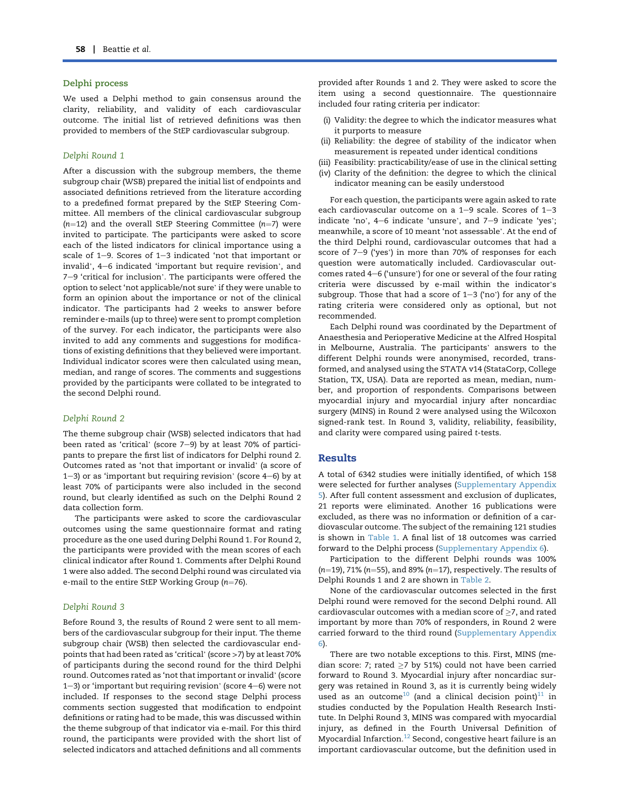#### Delphi process

We used a Delphi method to gain consensus around the clarity, reliability, and validity of each cardiovascular outcome. The initial list of retrieved definitions was then provided to members of the StEP cardiovascular subgroup.

#### Delphi Round 1

After a discussion with the subgroup members, the theme subgroup chair (WSB) prepared the initial list of endpoints and associated definitions retrieved from the literature according to a predefined format prepared by the StEP Steering Committee. All members of the clinical cardiovascular subgroup ( $n=12$ ) and the overall StEP Steering Committee ( $n=7$ ) were invited to participate. The participants were asked to score each of the listed indicators for clinical importance using a scale of  $1-9$ . Scores of  $1-3$  indicated 'not that important or each of the model mandators for eminear importance along a<br>scale of 1–9. Scores of 1–3 indicated 'not that important or<br>invalid', 4–6 indicated 'important but require revision', and Figure 31 Processor 1 Production and inspectant or<br>invalid', 4–6 indicated 'important but require revision', and<br>7–9 'critical for inclusion'. The participants were offered the  $7-9$  'critical for inclusion'. The participants were offered the option to select 'not applicable/not sure' if they were unable to form an opinion about the importance or not of the clinical indicator. The participants had 2 weeks to answer before reminder e-mails (up to three) were sent to prompt completion of the survey. For each indicator, the participants were also invited to add any comments and suggestions for modifications of existing definitions that they believed were important. Individual indicator scores were then calculated using mean, median, and range of scores. The comments and suggestions provided by the participants were collated to be integrated to the second Delphi round.

#### Delphi Round 2

The theme subgroup chair (WSB) selected indicators that had been rated as 'critical' (score 7e9) by at least 70% of participants to prepare the first list of indicators for Delphi round 2. Outcomes rated as 'not that important or invalid' (a score of Outcomes rated as 'not that important or invalid' (a score of  $1-3$ ) or as 'important but requiring revision' (score  $4-6$ ) by at least 70% of participants were also included in the second round, but clearly identified as such on the Delphi Round 2 data collection form.

The participants were asked to score the cardiovascular outcomes using the same questionnaire format and rating procedure as the one used during Delphi Round 1. For Round 2, the participants were provided with the mean scores of each clinical indicator after Round 1. Comments after Delphi Round 1 were also added. The second Delphi round was circulated via e-mail to the entire StEP Working Group ( $n=76$ ).

#### Delphi Round 3

Before Round 3, the results of Round 2 were sent to all members of the cardiovascular subgroup for their input. The theme subgroup chair (WSB) then selected the cardiovascular endpoints that had been rated as 'critical' (score <sup>&</sup>gt;7) by at least 70% of participants during the second round for the third Delphi round. Outcomes rated as 'not that important or invalid' (score round. Outcomes rated as 'not that important or invalid' (score 1–3) or 'important but requiring revision' (score 4–6) were not included. If responses to the second stage Delphi process comments section suggested that modification to endpoint definitions or rating had to be made, this was discussed within the theme subgroup of that indicator via e-mail. For this third round, the participants were provided with the short list of selected indicators and attached definitions and all comments

provided after Rounds 1 and 2. They were asked to score the item using a second questionnaire. The questionnaire included four rating criteria per indicator:

- (i) Validity: the degree to which the indicator measures what it purports to measure
- (ii) Reliability: the degree of stability of the indicator when measurement is repeated under identical conditions
- (iii) Feasibility: practicability/ease of use in the clinical setting
- (iv) Clarity of the definition: the degree to which the clinical indicator meaning can be easily understood

For each question, the participants were again asked to rate each cardiovascular outcome on a  $1-9$  scale. Scores of  $1-3$ indicate 'no', 4e6 indicate 'unsure', and 7–9 indicate 'unsure', and 7-9 indicate 'yes'; meanwhile, a score of 10 meant 'not assessable'. At the end of<br>meanwhile, a score of 10 meant 'not assessable'. At the end of the third Delphi round, cardiovascular outcomes that had a<br>score of 7–9 ('yes') in more than 70% of responses for each question were automatically included. Cardiovascular outscore of  $7-9$  ('yes') in more than  $70\%$  of responses for each question were automatically included. Cardiovascular outcomes rated  $4-6$  ('unsure') for one or several of the four rating quebeen were discussed by e-mail within the indicator's<br>comes rated 4–6 ('unsure') for one or several of the four rating<br>criteria were discussed by e-mail within the indicator's subgroup. Those that had a score of 1–3 ('no') for any of the<br>subgroup. Those that had a score of 1–3 ('no') for any of the rating criteria were considered only as optional, but not recommended.

Each Delphi round was coordinated by the Department of Anaesthesia and Perioperative Medicine at the Alfred Hospital in Melbourne, Australia. The participants' answers to the different Delphi rounds were anonymised, recorded, transformed, and analysed using the STATA v14 (StataCorp, College Station, TX, USA). Data are reported as mean, median, number, and proportion of respondents. Comparisons between myocardial injury and myocardial injury after noncardiac surgery (MINS) in Round 2 were analysed using the Wilcoxon signed-rank test. In Round 3, validity, reliability, feasibility, and clarity were compared using paired t-tests.

#### Results

A total of 6342 studies were initially identified, of which 158 were selected for further analyses (Supplementary Appendix 5). After full content assessment and exclusion of duplicates, 21 reports were eliminated. Another 16 publications were excluded, as there was no information or definition of a cardiovascular outcome. The subject of the remaining 121 studies is shown in [Table 1](#page-3-0). A final list of 18 outcomes was carried forward to the Delphi process (Supplementary Appendix 6).

Participation to the different Delphi rounds was 100% ( $n=19$ ), 71% ( $n=55$ ), and 89% ( $n=17$ ), respectively. The results of Delphi Rounds 1 and 2 are shown in [Table 2](#page-4-0).

None of the cardiovascular outcomes selected in the first Delphi round were removed for the second Delphi round. All cardiovascular outcomes with a median score of  $\geq$ 7, and rated important by more than 70% of responders, in Round 2 were carried forward to the third round (Supplementary Appendix 6).

There are two notable exceptions to this. First, MINS (median score: 7; rated  $\geq$ 7 by 51%) could not have been carried forward to Round 3. Myocardial injury after noncardiac surgery was retained in Round 3, as it is currently being widely used as an outcome<sup>[10](#page-9-7)</sup> (and a clinical decision point)<sup>[11](#page-9-8)</sup> in studies conducted by the Population Health Research Institute. In Delphi Round 3, MINS was compared with myocardial injury, as defined in the Fourth Universal Definition of Myocardial Infarction.[12](#page-9-9) Second, congestive heart failure is an important cardiovascular outcome, but the definition used in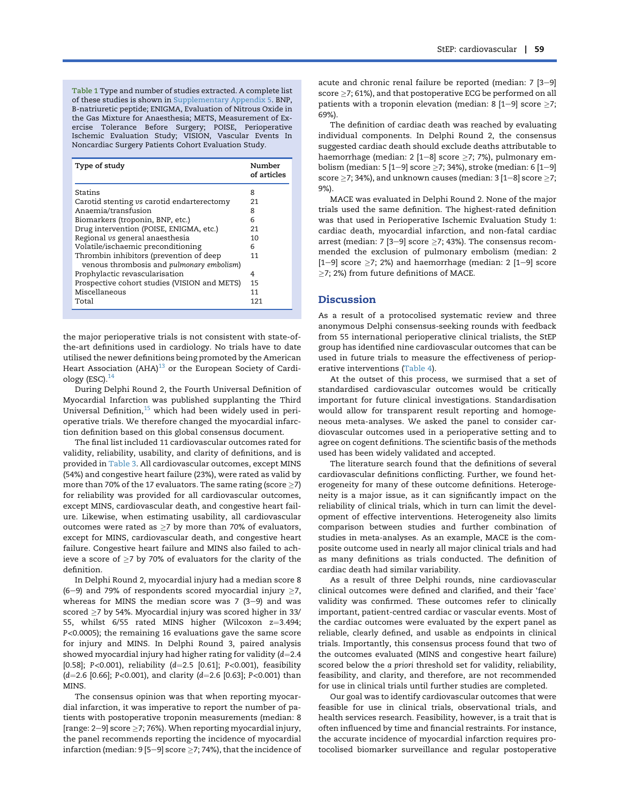<span id="page-3-0"></span>Table 1 Type and number of studies extracted. A complete list of these studies is shown in Supplementary Appendix 5. BNP, B-natriuretic peptide; ENIGMA, Evaluation of Nitrous Oxide in the Gas Mixture for Anaesthesia; METS, Measurement of Exercise Tolerance Before Surgery; POISE, Perioperative Ischemic Evaluation Study; VISION, Vascular Events In Noncardiac Surgery Patients Cohort Evaluation Study.

| Type of study                                                                        | Number<br>of articles |
|--------------------------------------------------------------------------------------|-----------------------|
| Statins                                                                              | 8                     |
| Carotid stenting vs carotid endarterectomy                                           | 21                    |
| Anaemia/transfusion                                                                  | 8                     |
| Biomarkers (troponin, BNP, etc.)                                                     | 6                     |
| Drug intervention (POISE, ENIGMA, etc.)                                              | 21                    |
| Regional vs general anaesthesia                                                      | 10                    |
| Volatile/ischaemic preconditioning                                                   | 6                     |
| Thrombin inhibitors (prevention of deep<br>venous thrombosis and pulmonary embolism) | 11                    |
| Prophylactic revascularisation                                                       | 4                     |
| Prospective cohort studies (VISION and METS)                                         | 15                    |
| Miscellaneous                                                                        | 11                    |
| Total                                                                                | 121                   |

the major perioperative trials is not consistent with state-ofthe-art definitions used in cardiology. No trials have to date utilised the newer definitions being promoted by the American Heart Association (AHA) $^{13}$  $^{13}$  $^{13}$  or the European Society of Cardiology (ESC). $14$ 

During Delphi Round 2, the Fourth Universal Definition of Myocardial Infarction was published supplanting the Third Universal Definition,<sup>[15](#page-9-12)</sup> which had been widely used in perioperative trials. We therefore changed the myocardial infarction definition based on this global consensus document.

The final list included 11 cardiovascular outcomes rated for validity, reliability, usability, and clarity of definitions, and is provided in [Table 3.](#page-6-0) All cardiovascular outcomes, except MINS (54%) and congestive heart failure (23%), were rated as valid by more than 70% of the 17 evaluators. The same rating (score  $\geq$ 7) for reliability was provided for all cardiovascular outcomes, except MINS, cardiovascular death, and congestive heart failure. Likewise, when estimating usability, all cardiovascular outcomes were rated as  $>7$  by more than 70% of evaluators, except for MINS, cardiovascular death, and congestive heart failure. Congestive heart failure and MINS also failed to achieve a score of  $\geq$ 7 by 70% of evaluators for the clarity of the definition.

In Delphi Round 2, myocardial injury had a median score 8 (6-9) and 79% of respondents scored myocardial injury  $\geq$ 7, whereas for MINS the median score was  $7$  (3-9) and was scored  $\geq$ 7 by 54%. Myocardial injury was scored higher in 33/ 55, whilst  $6/55$  rated MINS higher (Wilcoxon  $z=3.494$ ; P<0.0005); the remaining 16 evaluations gave the same score for injury and MINS. In Delphi Round 3, paired analysis showed myocardial injury had higher rating for validity  $(d=2.4$ [0.58]; P<0.001), reliability  $(d=2.5$  [0.61]; P<0.001), feasibility  $(d=2.6$  [0.66]; P<0.001), and clarity (d=2.6 [0.63]; P<0.001) than MINS.

The consensus opinion was that when reporting myocardial infarction, it was imperative to report the number of patients with postoperative troponin measurements (median: 8 [range:  $2-9$ ] score  $\geq$ 7; 76%). When reporting myocardial injury, the panel recommends reporting the incidence of myocardial infarction (median:  $9$  [5-9] score  $\geq$ 7; 74%), that the incidence of acute and chronic renal failure be reported (median:  $7$  [3-9] score  $\ge$  7; 61%), and that postoperative ECG be performed on all patients with a troponin elevation (median: 8  $[1-9]$  score  $\geq 7$ ; 69%).

The definition of cardiac death was reached by evaluating individual components. In Delphi Round 2, the consensus suggested cardiac death should exclude deaths attributable to haemorrhage (median:  $2$  [1-8] score  $>$ 7; 7%), pulmonary embolism (median: 5 [1-9] score  $\geq$ 7; 34%), stroke (median: 6 [1-9] score  $\ge$ 7; 34%), and unknown causes (median: 3 [1–8] score  $\ge$ 7; 9%).

MACE was evaluated in Delphi Round 2. None of the major trials used the same definition. The highest-rated definition was that used in Perioperative Ischemic Evaluation Study 1: cardiac death, myocardial infarction, and non-fatal cardiac arrest (median: 7 [3-9] score  $>7$ ; 43%). The consensus recommended the exclusion of pulmonary embolism (median: 2  $[1-9]$  score  $\geq$ 7; 2%) and haemorrhage (median: 2  $[1-9]$  score  $>$ 7; 2%) from future definitions of MACE.

#### **Discussion**

As a result of a protocolised systematic review and three anonymous Delphi consensus-seeking rounds with feedback from 55 international perioperative clinical trialists, the StEP group has identified nine cardiovascular outcomes that can be used in future trials to measure the effectiveness of perioperative interventions [\(Table 4\)](#page-7-0).

At the outset of this process, we surmised that a set of standardised cardiovascular outcomes would be critically important for future clinical investigations. Standardisation would allow for transparent result reporting and homogeneous meta-analyses. We asked the panel to consider cardiovascular outcomes used in a perioperative setting and to agree on cogent definitions. The scientific basis of the methods used has been widely validated and accepted.

The literature search found that the definitions of several cardiovascular definitions conflicting. Further, we found heterogeneity for many of these outcome definitions. Heterogeneity is a major issue, as it can significantly impact on the reliability of clinical trials, which in turn can limit the development of effective interventions. Heterogeneity also limits comparison between studies and further combination of studies in meta-analyses. As an example, MACE is the composite outcome used in nearly all major clinical trials and had as many definitions as trials conducted. The definition of cardiac death had similar variability.

As a result of three Delphi rounds, nine cardiovascular clinical outcomes were defined and clarified, and their 'face' validity was confirmed. These outcomes refer to clinically important, patient-centred cardiac or vascular events. Most of the cardiac outcomes were evaluated by the expert panel as reliable, clearly defined, and usable as endpoints in clinical trials. Importantly, this consensus process found that two of the outcomes evaluated (MINS and congestive heart failure) scored below the a priori threshold set for validity, reliability, feasibility, and clarity, and therefore, are not recommended for use in clinical trials until further studies are completed.

Our goal was to identify cardiovascular outcomes that were feasible for use in clinical trials, observational trials, and health services research. Feasibility, however, is a trait that is often influenced by time and financial restraints. For instance, the accurate incidence of myocardial infarction requires protocolised biomarker surveillance and regular postoperative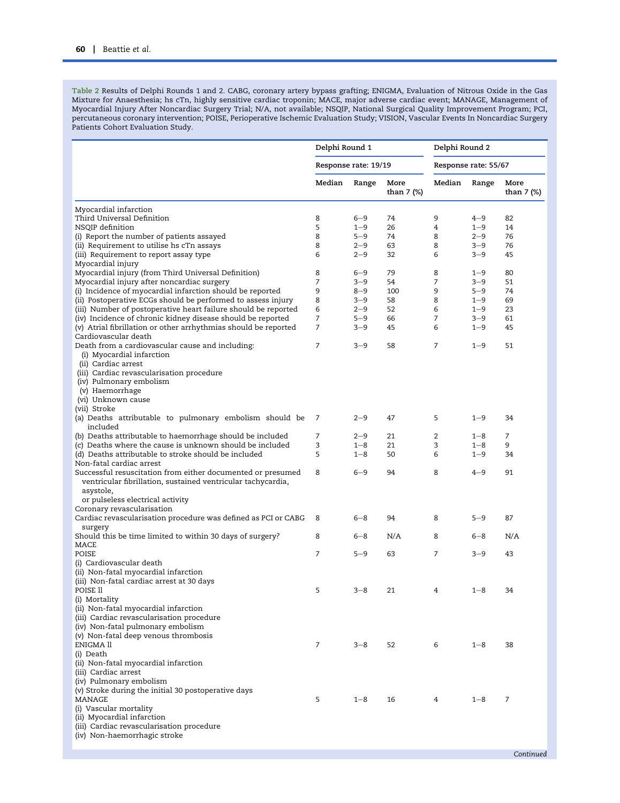<span id="page-4-0"></span>Table 2 Results of Delphi Rounds 1 and 2. CABG, coronary artery bypass grafting; ENIGMA, Evaluation of Nitrous Oxide in the Gas Mixture for Anaesthesia; hs cTn, highly sensitive cardiac troponin; MACE, major adverse cardiac event; MANAGE, Management of Myocardial Injury After Noncardiac Surgery Trial; N/A, not available; NSQIP, National Surgical Quality Improvement Program; PCI, percutaneous coronary intervention; POISE, Perioperative Ischemic Evaluation Study; VISION, Vascular Events In Noncardiac Surgery Patients Cohort Evaluation Study.

|                                                                                                                                | Delphi Round 1<br>Response rate: 19/19 |                    | Delphi Round 2       |                |                    |                    |
|--------------------------------------------------------------------------------------------------------------------------------|----------------------------------------|--------------------|----------------------|----------------|--------------------|--------------------|
|                                                                                                                                |                                        |                    | Response rate: 55/67 |                |                    |                    |
|                                                                                                                                | Median                                 | Range              | More<br>than 7 (%)   | Median         | Range              | More<br>than 7 (%) |
| Myocardial infarction                                                                                                          |                                        |                    |                      |                |                    |                    |
| Third Universal Definition                                                                                                     | 8                                      | $6 - 9$            | 74                   | 9              | $4 - 9$            | 82                 |
| NSQIP definition                                                                                                               | 5                                      | $1 - 9$            | 26                   | 4              | $1 - 9$            | 14                 |
| (i) Report the number of patients assayed                                                                                      | 8                                      | $5 - 9$            | 74                   | 8              | $2 - 9$            | 76                 |
| (ii) Requirement to utilise hs cTn assays<br>(iii) Requirement to report assay type                                            | 8<br>6                                 | $2 - 9$<br>$2 - 9$ | 63<br>32             | 8<br>6         | $3 - 9$<br>$3 - 9$ | 76<br>45           |
| Myocardial injury                                                                                                              |                                        |                    |                      |                |                    |                    |
| Myocardial injury (from Third Universal Definition)                                                                            | 8                                      | $6 - 9$            | 79                   | 8              | $1 - 9$            | 80                 |
| Myocardial injury after noncardiac surgery                                                                                     | 7                                      | 3–9                | 54                   | 7              | $3 - 9$            | 51                 |
| (i) Incidence of myocardial infarction should be reported                                                                      | 9<br>8                                 | $8 - 9$<br>$3 - 9$ | 100                  | 9<br>8         | $5 - 9$            | 74<br>69           |
| (ii) Postoperative ECGs should be performed to assess injury<br>(iii) Number of postoperative heart failure should be reported | 6                                      | $2 - 9$            | 58<br>52             | 6              | $1 - 9$<br>$1 - 9$ | 23                 |
| (iv) Incidence of chronic kidney disease should be reported                                                                    | 7                                      | $5 - 9$            | 66                   | $\overline{7}$ | $3 - 9$            | 61                 |
| (v) Atrial fibrillation or other arrhythmias should be reported                                                                | 7                                      | $3 - 9$            | 45                   | 6              | $1 - 9$            | 45                 |
| Cardiovascular death                                                                                                           |                                        |                    |                      |                |                    |                    |
| Death from a cardiovascular cause and including:<br>(i) Myocardial infarction                                                  | 7                                      | $3 - 9$            | 58                   | 7              | $1 - 9$            | 51                 |
| (ii) Cardiac arrest                                                                                                            |                                        |                    |                      |                |                    |                    |
| (iii) Cardiac revascularisation procedure                                                                                      |                                        |                    |                      |                |                    |                    |
| (iv) Pulmonary embolism                                                                                                        |                                        |                    |                      |                |                    |                    |
| (v) Haemorrhage                                                                                                                |                                        |                    |                      |                |                    |                    |
| (vi) Unknown cause<br>(vii) Stroke                                                                                             |                                        |                    |                      |                |                    |                    |
| (a) Deaths attributable to pulmonary embolism should be                                                                        | 7                                      | $2 - 9$            | 47                   | 5              | $1 - 9$            | 34                 |
| included                                                                                                                       |                                        |                    |                      |                |                    |                    |
| (b) Deaths attributable to haemorrhage should be included                                                                      | 7                                      | $2 - 9$            | 21                   | 2              | $1 - 8$            | 7                  |
| (c) Deaths where the cause is unknown should be included                                                                       | 3                                      | $1 - 8$            | 21                   | 3              | $1 - 8$            | 9                  |
| (d) Deaths attributable to stroke should be included                                                                           | 5                                      | $1 - 8$            | 50                   | 6              | $1 - 9$            | 34                 |
| Non-fatal cardiac arrest                                                                                                       |                                        |                    |                      |                |                    |                    |
| Successful resuscitation from either documented or presumed<br>ventricular fibrillation, sustained ventricular tachycardia,    | 8                                      | $6 - 9$            | 94                   | 8              | $4 - 9$            | 91                 |
| asystole,                                                                                                                      |                                        |                    |                      |                |                    |                    |
| or pulseless electrical activity                                                                                               |                                        |                    |                      |                |                    |                    |
| Coronary revascularisation                                                                                                     |                                        |                    |                      |                |                    |                    |
| Cardiac revascularisation procedure was defined as PCI or CABG                                                                 | 8                                      | $6 - 8$            | 94                   | 8              | $5 - 9$            | 87                 |
| surgery                                                                                                                        |                                        |                    |                      |                |                    |                    |
| Should this be time limited to within 30 days of surgery?                                                                      | 8                                      | $6 - 8$            | N/A                  | 8              | $6 - 8$            | N/A                |
| MACE<br>POISE                                                                                                                  | 7                                      | $5 - 9$            | 63                   | 7              | $3 - 9$            | 43                 |
| (i) Cardiovascular death                                                                                                       |                                        |                    |                      |                |                    |                    |
| (ii) Non-fatal myocardial infarction                                                                                           |                                        |                    |                      |                |                    |                    |
| (iii) Non-fatal cardiac arrest at 30 days                                                                                      |                                        |                    |                      |                |                    |                    |
| POISE II                                                                                                                       | 5                                      | $3 - 8$            | 21                   | 4              | $1 - 8$            | 34                 |
| (i) Mortality                                                                                                                  |                                        |                    |                      |                |                    |                    |
| (ii) Non-fatal myocardial infarction                                                                                           |                                        |                    |                      |                |                    |                    |
| (iii) Cardiac revascularisation procedure<br>(iv) Non-fatal pulmonary embolism                                                 |                                        |                    |                      |                |                    |                    |
| (v) Non-fatal deep venous thrombosis                                                                                           |                                        |                    |                      |                |                    |                    |
| ENIGMA ll                                                                                                                      | 7                                      | $3 - 8$            | 52                   | 6              | $1 - 8$            | 38                 |
| (i) Death                                                                                                                      |                                        |                    |                      |                |                    |                    |
| (ii) Non-fatal myocardial infarction                                                                                           |                                        |                    |                      |                |                    |                    |
| (iii) Cardiac arrest                                                                                                           |                                        |                    |                      |                |                    |                    |
| (iv) Pulmonary embolism                                                                                                        |                                        |                    |                      |                |                    |                    |
| (v) Stroke during the initial 30 postoperative days<br>MANAGE                                                                  | 5                                      | $1 - 8$            | 16                   | 4              | $1 - 8$            | 7                  |
| (i) Vascular mortality                                                                                                         |                                        |                    |                      |                |                    |                    |
| (ii) Myocardial infarction                                                                                                     |                                        |                    |                      |                |                    |                    |
| (iii) Cardiac revascularisation procedure                                                                                      |                                        |                    |                      |                |                    |                    |
| (iv) Non-haemorrhagic stroke                                                                                                   |                                        |                    |                      |                |                    |                    |
|                                                                                                                                |                                        |                    |                      |                |                    |                    |
|                                                                                                                                |                                        |                    |                      |                |                    | Continued          |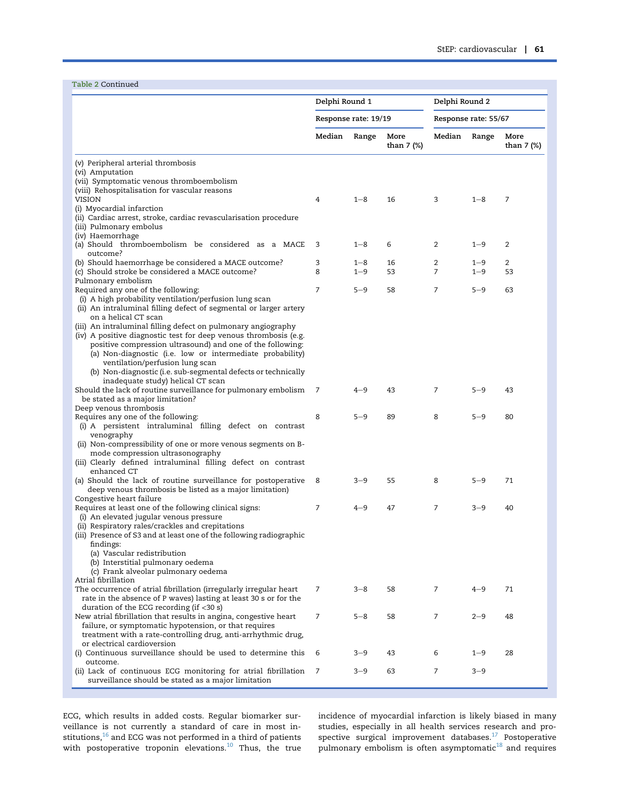Table 2 Continued

|                                                                                                                                | Delphi Round 1       |                    | Delphi Round 2     |                      |                    |                    |
|--------------------------------------------------------------------------------------------------------------------------------|----------------------|--------------------|--------------------|----------------------|--------------------|--------------------|
|                                                                                                                                | Response rate: 19/19 |                    |                    | Response rate: 55/67 |                    |                    |
|                                                                                                                                | Median               | Range              | More<br>than 7 (%) | Median               | Range              | More<br>than 7 (%) |
| (v) Peripheral arterial thrombosis<br>(vi) Amputation                                                                          |                      |                    |                    |                      |                    |                    |
| (vii) Symptomatic venous thromboembolism                                                                                       |                      |                    |                    |                      |                    |                    |
| (viii) Rehospitalisation for vascular reasons<br><b>VISION</b>                                                                 | 4                    | $1 - 8$            | 16                 | 3                    | $1 - 8$            | 7                  |
| (i) Myocardial infarction                                                                                                      |                      |                    |                    |                      |                    |                    |
| (ii) Cardiac arrest, stroke, cardiac revascularisation procedure<br>(iii) Pulmonary embolus                                    |                      |                    |                    |                      |                    |                    |
| (iv) Haemorrhage                                                                                                               |                      |                    |                    |                      |                    |                    |
| (a) Should thromboembolism be considered as a MACE<br>outcome?                                                                 | 3                    | $1 - 8$            | 6                  | 2                    | $1 - 9$            | 2                  |
| (b) Should haemorrhage be considered a MACE outcome?<br>(c) Should stroke be considered a MACE outcome?                        | 3<br>8               | $1 - 8$<br>$1 - 9$ | 16<br>53           | $\overline{2}$<br>7  | $1 - 9$<br>$1 - 9$ | 2<br>53            |
| Pulmonary embolism                                                                                                             |                      |                    |                    |                      |                    |                    |
| Required any one of the following:                                                                                             | $\overline{7}$       | $5 - 9$            | 58                 | 7                    | $5 - 9$            | 63                 |
| (i) A high probability ventilation/perfusion lung scan<br>(ii) An intraluminal filling defect of segmental or larger artery    |                      |                    |                    |                      |                    |                    |
| on a helical CT scan                                                                                                           |                      |                    |                    |                      |                    |                    |
| (iii) An intraluminal filling defect on pulmonary angiography                                                                  |                      |                    |                    |                      |                    |                    |
| (iv) A positive diagnostic test for deep venous thrombosis (e.g.<br>positive compression ultrasound) and one of the following: |                      |                    |                    |                      |                    |                    |
| (a) Non-diagnostic (i.e. low or intermediate probability)                                                                      |                      |                    |                    |                      |                    |                    |
| ventilation/perfusion lung scan                                                                                                |                      |                    |                    |                      |                    |                    |
| (b) Non-diagnostic (i.e. sub-segmental defects or technically                                                                  |                      |                    |                    |                      |                    |                    |
| inadequate study) helical CT scan<br>Should the lack of routine surveillance for pulmonary embolism                            | 7                    | $4 - 9$            | 43                 | 7                    | $5 - 9$            | 43                 |
| be stated as a major limitation?                                                                                               |                      |                    |                    |                      |                    |                    |
| Deep venous thrombosis                                                                                                         |                      |                    | 89                 | 8                    |                    |                    |
| Requires any one of the following:<br>(i) A persistent intraluminal filling defect on contrast                                 | 8                    | $5 - 9$            |                    |                      | $5 - 9$            | 80                 |
| venography                                                                                                                     |                      |                    |                    |                      |                    |                    |
| (ii) Non-compressibility of one or more venous segments on B-                                                                  |                      |                    |                    |                      |                    |                    |
| mode compression ultrasonography<br>(iii) Clearly defined intraluminal filling defect on contrast                              |                      |                    |                    |                      |                    |                    |
| enhanced CT                                                                                                                    |                      |                    |                    |                      |                    |                    |
| (a) Should the lack of routine surveillance for postoperative                                                                  | 8                    | $3 - 9$            | 55                 | 8                    | $5 - 9$            | 71                 |
| deep venous thrombosis be listed as a major limitation)<br>Congestive heart failure                                            |                      |                    |                    |                      |                    |                    |
| Requires at least one of the following clinical signs:                                                                         | $\overline{7}$       | $4 - 9$            | 47                 | 7                    | $3 - 9$            | 40                 |
| (i) An elevated jugular venous pressure                                                                                        |                      |                    |                    |                      |                    |                    |
| (ii) Respiratory rales/crackles and crepitations<br>(iii) Presence of S3 and at least one of the following radiographic        |                      |                    |                    |                      |                    |                    |
| findings:                                                                                                                      |                      |                    |                    |                      |                    |                    |
| (a) Vascular redistribution                                                                                                    |                      |                    |                    |                      |                    |                    |
| (b) Interstitial pulmonary oedema<br>(c) Frank alveolar pulmonary oedema                                                       |                      |                    |                    |                      |                    |                    |
| Atrial fibrillation                                                                                                            |                      |                    |                    |                      |                    |                    |
| The occurrence of atrial fibrillation (irregularly irregular heart                                                             | 7                    | $3 - 8$            | 58                 | 7                    | $4 - 9$            | 71                 |
| rate in the absence of P waves) lasting at least 30 s or for the<br>duration of the ECG recording (if $<$ 30 s)                |                      |                    |                    |                      |                    |                    |
| New atrial fibrillation that results in angina, congestive heart                                                               | 7                    | $5 - 8$            | 58                 | 7                    | $2 - 9$            | 48                 |
| failure, or symptomatic hypotension, or that requires                                                                          |                      |                    |                    |                      |                    |                    |
| treatment with a rate-controlling drug, anti-arrhythmic drug,<br>or electrical cardioversion                                   |                      |                    |                    |                      |                    |                    |
| (i) Continuous surveillance should be used to determine this<br>outcome.                                                       | 6                    | $3 - 9$            | 43                 | 6                    | $1 - 9$            | 28                 |
| (ii) Lack of continuous ECG monitoring for atrial fibrillation<br>surveillance should be stated as a major limitation          | 7                    | $3 - 9$            | 63                 | 7                    | $3 - 9$            |                    |

ECG, which results in added costs. Regular biomarker surveillance is not currently a standard of care in most institutions,<sup>16</sup> and ECG was not performed in a third of patients with postoperative troponin elevations.<sup>[10](#page-9-7)</sup> Thus, the true incidence of myocardial infarction is likely biased in many studies, especially in all health services research and prospective surgical improvement databases. $^{17}$  $^{17}$  $^{17}$  Postoperative pulmonary embolism is often asymptomatic $^{\rm 18}$  $^{\rm 18}$  $^{\rm 18}$  and requires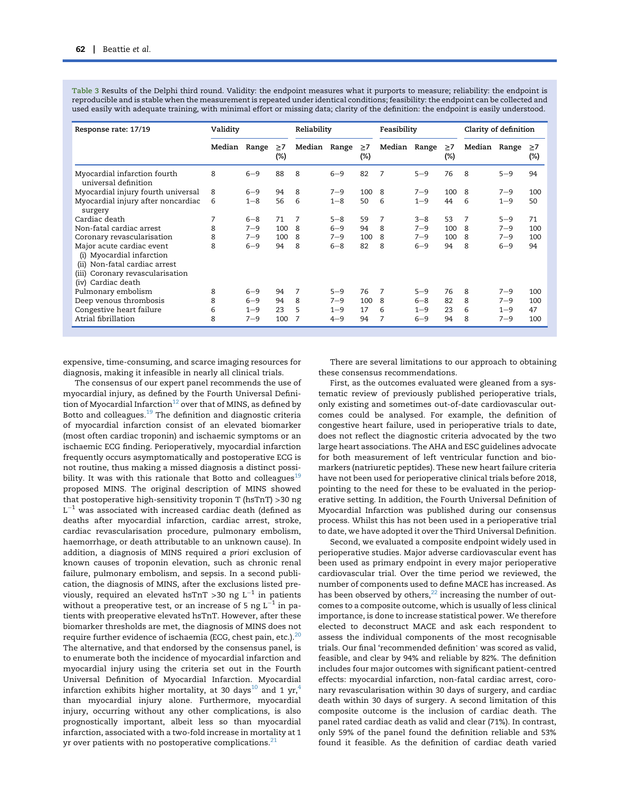<span id="page-6-0"></span>Table 3 Results of the Delphi third round. Validity: the endpoint measures what it purports to measure; reliability: the endpoint is reproducible and is stable when the measurement is repeated under identical conditions; feasibility: the endpoint can be collected and used easily with adequate training, with minimal effort or missing data; clarity of the definition: the endpoint is easily understood.

| Response rate: 17/19                                                                                                                                       | Validity |         | Reliability        |                | Feasibility |                 | Clarity of definition |         |                 |        |         |                    |
|------------------------------------------------------------------------------------------------------------------------------------------------------------|----------|---------|--------------------|----------------|-------------|-----------------|-----------------------|---------|-----------------|--------|---------|--------------------|
|                                                                                                                                                            | Median   | Range   | $\geq 7$<br>$(\%)$ | Median         | Range       | $\geq$ 7<br>(%) | Median                | Range   | $\geq 7$<br>(%) | Median | Range   | $\geq 7$<br>$(\%)$ |
| Myocardial infarction fourth<br>universal definition                                                                                                       | 8        | $6 - 9$ | 88                 | 8              | $6 - 9$     | 82              | 7                     | $5 - 9$ | 76              | 8      | $5 - 9$ | 94                 |
| Myocardial injury fourth universal                                                                                                                         | 8        | $6 - 9$ | 94                 | 8              | $7 - 9$     | 100             | 8                     | $7 - 9$ | 100             | 8      | $7 - 9$ | 100                |
| Myocardial injury after noncardiac<br>surgery                                                                                                              | 6        | $1 - 8$ | 56                 | 6              | $1 - 8$     | 50              | 6                     | $1 - 9$ | 44              | 6      | $1 - 9$ | 50                 |
| Cardiac death                                                                                                                                              | 7        | $6 - 8$ | 71                 | $\overline{7}$ | $5 - 8$     | 59              | 7                     | $3 - 8$ | 53              | 7      | $5 - 9$ | 71                 |
| Non-fatal cardiac arrest                                                                                                                                   | 8        | $7 - 9$ | 100                | 8              | $6 - 9$     | 94              | 8                     | $7 - 9$ | 100             | 8      | $7 - 9$ | 100                |
| Coronary revascularisation                                                                                                                                 | 8        | $7 - 9$ | 100                | 8              | $7 - 9$     | 100             | 8                     | $7 - 9$ | 100             | 8      | $7 - 9$ | 100                |
| Major acute cardiac event<br>(i) Myocardial infarction<br>Non-fatal cardiac arrest<br>(ii)<br>Coronary revascularisation<br>(iii)<br>Cardiac death<br>(iv) | 8        | $6 - 9$ | 94                 | 8              | $6 - 8$     | 82              | 8                     | $6 - 9$ | 94              | 8      | $6 - 9$ | 94                 |
| Pulmonary embolism                                                                                                                                         | 8        | $6 - 9$ | 94                 | 7              | $5 - 9$     | 76              | 7                     | $5 - 9$ | 76              | 8      | $7 - 9$ | 100                |
| Deep venous thrombosis                                                                                                                                     | 8        | $6 - 9$ | 94                 | 8              | $7 - 9$     | 100             | -8                    | $6 - 8$ | 82              | 8      | $7 - 9$ | 100                |
| Congestive heart failure                                                                                                                                   | 6        | $1 - 9$ | 23                 | 5              | $1 - 9$     | 17              | 6                     | $1 - 9$ | 23              | 6      | $1 - 9$ | 47                 |
| Atrial fibrillation                                                                                                                                        | 8        | $7 - 9$ | 100                | 7              | $4 - 9$     | 94              |                       | $6 - 9$ | 94              | 8      | $7 - 9$ | 100                |

expensive, time-consuming, and scarce imaging resources for diagnosis, making it infeasible in nearly all clinical trials.

The consensus of our expert panel recommends the use of myocardial injury, as defined by the Fourth Universal Definition of Myocardial Infarction<sup>12</sup> over that of MINS, as defined by Botto and colleagues. $19$  The definition and diagnostic criteria of myocardial infarction consist of an elevated biomarker (most often cardiac troponin) and ischaemic symptoms or an ischaemic ECG finding. Perioperatively, myocardial infarction frequently occurs asymptomatically and postoperative ECG is not routine, thus making a missed diagnosis a distinct possibility. It was with this rationale that Botto and colleagues<sup>19</sup> proposed MINS. The original description of MINS showed that postoperative high-sensitivity troponin T (hsTnT) >30 ng  $L^{-1}$  was associated with increased cardiac death (defined as deaths after myocardial infarction, cardiac arrest, stroke, cardiac revascularisation procedure, pulmonary embolism, haemorrhage, or death attributable to an unknown cause). In addition, a diagnosis of MINS required a priori exclusion of known causes of troponin elevation, such as chronic renal failure, pulmonary embolism, and sepsis. In a second publication, the diagnosis of MINS, after the exclusions listed previously, required an elevated hsTnT >30 ng  $L^{-1}$  in patients without a preoperative test, or an increase of 5 ng  $L^{-1}$  in patients with preoperative elevated hsTnT. However, after these biomarker thresholds are met, the diagnosis of MINS does not require further evidence of ischaemia (ECG, chest pain, etc.). $20$ The alternative, and that endorsed by the consensus panel, is to enumerate both the incidence of myocardial infarction and myocardial injury using the criteria set out in the Fourth Universal Definition of Myocardial Infarction. Myocardial infarction exhibits higher mortality, at 30 days<sup>[10](#page-9-7)</sup> and 1 yr,<sup>[4](#page-9-13)</sup> than myocardial injury alone. Furthermore, myocardial injury, occurring without any other complications, is also prognostically important, albeit less so than myocardial infarction, associated with a two-fold increase in mortality at 1 yr over patients with no postoperative complications. $21$ 

There are several limitations to our approach to obtaining these consensus recommendations.

First, as the outcomes evaluated were gleaned from a systematic review of previously published perioperative trials, only existing and sometimes out-of-date cardiovascular outcomes could be analysed. For example, the definition of congestive heart failure, used in perioperative trials to date, does not reflect the diagnostic criteria advocated by the two large heart associations. The AHA and ESC guidelines advocate for both measurement of left ventricular function and biomarkers (natriuretic peptides). These new heart failure criteria have not been used for perioperative clinical trials before 2018, pointing to the need for these to be evaluated in the perioperative setting. In addition, the Fourth Universal Definition of Myocardial Infarction was published during our consensus process. Whilst this has not been used in a perioperative trial to date, we have adopted it over the Third Universal Definition.

Second, we evaluated a composite endpoint widely used in perioperative studies. Major adverse cardiovascular event has been used as primary endpoint in every major perioperative cardiovascular trial. Over the time period we reviewed, the number of components used to define MACE has increased. As has been observed by others, $^{22}$  $^{22}$  $^{22}$  increasing the number of outcomes to a composite outcome, which is usually of less clinical importance, is done to increase statistical power. We therefore elected to deconstruct MACE and ask each respondent to assess the individual components of the most recognisable trials. Our final 'recommended definition' was scored as valid, feasible, and clear by 94% and reliable by 82%. The definition includes four major outcomes with significant patient-centred effects: myocardial infarction, non-fatal cardiac arrest, coronary revascularisation within 30 days of surgery, and cardiac death within 30 days of surgery. A second limitation of this composite outcome is the inclusion of cardiac death. The panel rated cardiac death as valid and clear (71%). In contrast, only 59% of the panel found the definition reliable and 53% found it feasible. As the definition of cardiac death varied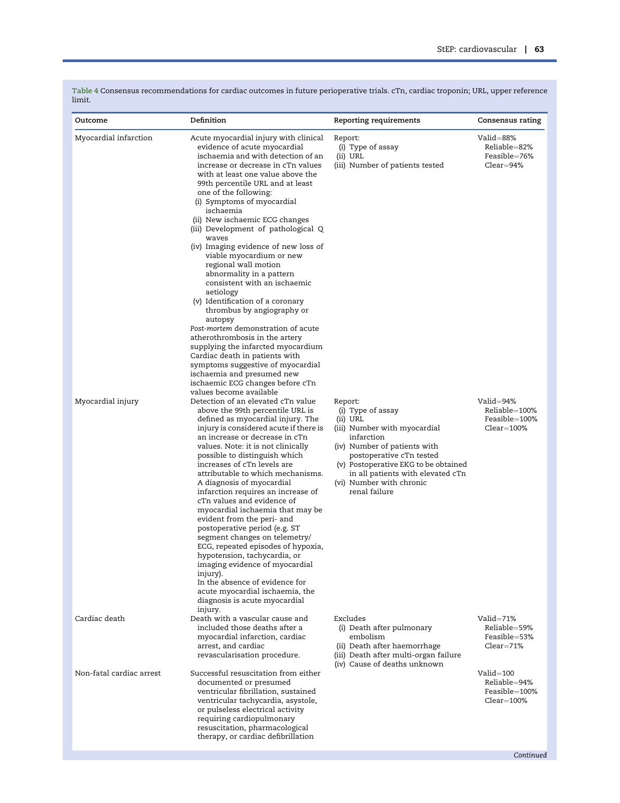| Outcome                  | Definition                                                                                                                                                                                                                                                                                                                                                                                                                                                                                                                                                                                                                                                                                                                                                                                                                                                                                | Reporting requirements                                                                                                                                                                                                                                                       | Consensus rating                                                  |
|--------------------------|-------------------------------------------------------------------------------------------------------------------------------------------------------------------------------------------------------------------------------------------------------------------------------------------------------------------------------------------------------------------------------------------------------------------------------------------------------------------------------------------------------------------------------------------------------------------------------------------------------------------------------------------------------------------------------------------------------------------------------------------------------------------------------------------------------------------------------------------------------------------------------------------|------------------------------------------------------------------------------------------------------------------------------------------------------------------------------------------------------------------------------------------------------------------------------|-------------------------------------------------------------------|
| Myocardial infarction    | Acute myocardial injury with clinical<br>evidence of acute myocardial<br>ischaemia and with detection of an<br>increase or decrease in cTn values<br>with at least one value above the<br>99th percentile URL and at least<br>one of the following:<br>(i) Symptoms of myocardial<br>ischaemia<br>(ii) New ischaemic ECG changes<br>(iii) Development of pathological Q<br>waves<br>(iv) Imaging evidence of new loss of<br>viable myocardium or new<br>regional wall motion<br>abnormality in a pattern<br>consistent with an ischaemic<br>aetiology<br>(v) Identification of a coronary<br>thrombus by angiography or<br>autopsy<br>Post-mortem demonstration of acute<br>atherothrombosis in the artery<br>supplying the infarcted myocardium<br>Cardiac death in patients with<br>symptoms suggestive of myocardial<br>ischaemia and presumed new<br>ischaemic ECG changes before cTn | Report:<br>(i) Type of assay<br>(ii) URL<br>(iii) Number of patients tested                                                                                                                                                                                                  | Valid=88%<br>Reliable=82%<br>Feasible=76%<br>Clear=94%            |
| Myocardial injury        | values become available<br>Detection of an elevated cTn value<br>above the 99th percentile URL is<br>defined as myocardial injury. The<br>injury is considered acute if there is<br>an increase or decrease in cTn<br>values. Note: it is not clinically<br>possible to distinguish which<br>increases of cTn levels are<br>attributable to which mechanisms.<br>A diagnosis of myocardial<br>infarction requires an increase of<br>cTn values and evidence of<br>myocardial ischaemia that may be<br>evident from the peri- and<br>postoperative period (e.g. ST<br>segment changes on telemetry/<br>ECG, repeated episodes of hypoxia,<br>hypotension, tachycardia, or<br>imaging evidence of myocardial<br>injury).<br>In the absence of evidence for<br>acute myocardial ischaemia, the<br>diagnosis is acute myocardial                                                              | Report:<br>(i) Type of assay<br>(ii) URL<br>(iii) Number with myocardial<br>infarction<br>(iv) Number of patients with<br>postoperative cTn tested<br>(v) Postoperative EKG to be obtained<br>in all patients with elevated cTn<br>(vi) Number with chronic<br>renal failure | Valid=94%<br>Reliable=100%<br>Feasible=100%<br>$Clear=100\%$      |
| Cardiac death            | injury.<br>Death with a vascular cause and<br>included those deaths after a<br>myocardial infarction, cardiac<br>arrest, and cardiac<br>revascularisation procedure.                                                                                                                                                                                                                                                                                                                                                                                                                                                                                                                                                                                                                                                                                                                      | Excludes<br>(i) Death after pulmonary<br>embolism<br>(ii) Death after haemorrhage<br>(iii) Death after multi-organ failure<br>(iv) Cause of deaths unknown                                                                                                                   | Valid $=71\%$<br>Reliable=59%<br>Feasible=53%<br>Clear=71%        |
| Non-fatal cardiac arrest | Successful resuscitation from either<br>documented or presumed<br>ventricular fibrillation, sustained<br>ventricular tachycardia, asystole,<br>or pulseless electrical activity<br>requiring cardiopulmonary<br>resuscitation, pharmacological<br>therapy, or cardiac defibrillation                                                                                                                                                                                                                                                                                                                                                                                                                                                                                                                                                                                                      |                                                                                                                                                                                                                                                                              | $Valid = 100$<br>Reliable=94%<br>Feasible=100%<br>$Clear = 100\%$ |

<span id="page-7-0"></span>Table 4 Consensus recommendations for cardiac outcomes in future perioperative trials. cTn, cardiac troponin; URL, upper reference limit.

Continued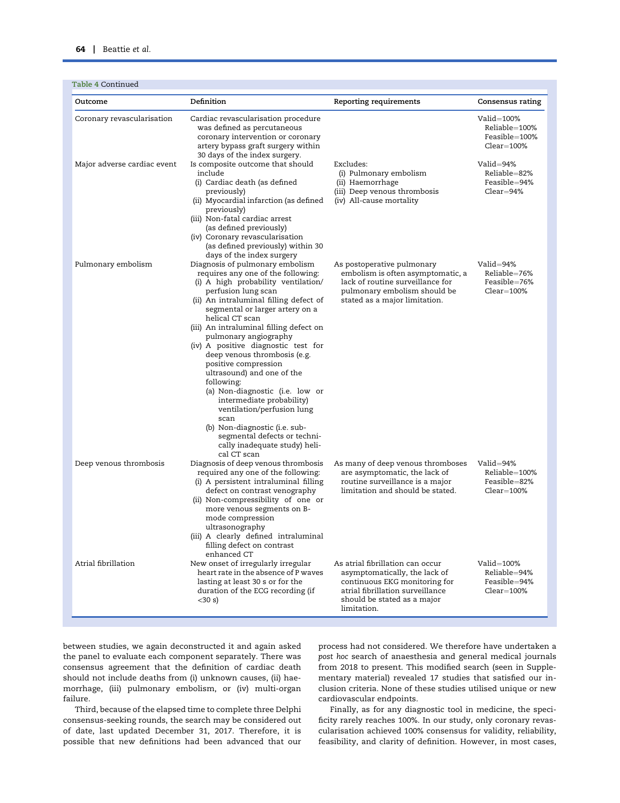|  |  |  | Table 4 Continued |
|--|--|--|-------------------|
|--|--|--|-------------------|

| Table 4 Continued           |                                                                                                                                                                                                                                                                                                                                                                                                                                                                                                                                                                                                                                                            |                                                                                                                                                                                      |                                                               |
|-----------------------------|------------------------------------------------------------------------------------------------------------------------------------------------------------------------------------------------------------------------------------------------------------------------------------------------------------------------------------------------------------------------------------------------------------------------------------------------------------------------------------------------------------------------------------------------------------------------------------------------------------------------------------------------------------|--------------------------------------------------------------------------------------------------------------------------------------------------------------------------------------|---------------------------------------------------------------|
| Outcome                     | Definition                                                                                                                                                                                                                                                                                                                                                                                                                                                                                                                                                                                                                                                 | Reporting requirements                                                                                                                                                               | Consensus rating                                              |
| Coronary revascularisation  | Cardiac revascularisation procedure<br>was defined as percutaneous<br>coronary intervention or coronary<br>artery bypass graft surgery within<br>30 days of the index surgery.                                                                                                                                                                                                                                                                                                                                                                                                                                                                             |                                                                                                                                                                                      | Valid=100%<br>Reliable=100%<br>Feasible=100%<br>$Clear=100\%$ |
| Major adverse cardiac event | Is composite outcome that should<br>include<br>(i) Cardiac death (as defined<br>previously)<br>(ii) Myocardial infarction (as defined<br>previously)<br>(iii) Non-fatal cardiac arrest<br>(as defined previously)<br>(iv) Coronary revascularisation<br>(as defined previously) within 30<br>days of the index surgery                                                                                                                                                                                                                                                                                                                                     | Excludes:<br>(i) Pulmonary embolism<br>(ii) Haemorrhage<br>(iii) Deep venous thrombosis<br>(iv) All-cause mortality                                                                  | Valid=94%<br>Reliable=82%<br>Feasible=94%<br>$Clear = 94\%$   |
| Pulmonary embolism          | Diagnosis of pulmonary embolism<br>requires any one of the following:<br>(i) A high probability ventilation/<br>perfusion lung scan<br>(ii) An intraluminal filling defect of<br>segmental or larger artery on a<br>helical CT scan<br>(iii) An intraluminal filling defect on<br>pulmonary angiography<br>(iv) A positive diagnostic test for<br>deep venous thrombosis (e.g.<br>positive compression<br>ultrasound) and one of the<br>following:<br>(a) Non-diagnostic (i.e. low or<br>intermediate probability)<br>ventilation/perfusion lung<br>scan<br>(b) Non-diagnostic (i.e. sub-<br>segmental defects or techni-<br>cally inadequate study) heli- | As postoperative pulmonary<br>embolism is often asymptomatic, a<br>lack of routine surveillance for<br>pulmonary embolism should be<br>stated as a major limitation.                 | Valid=94%<br>Reliable=76%<br>Feasible=76%<br>$Clear=100\%$    |
| Deep venous thrombosis      | cal CT scan<br>Diagnosis of deep venous thrombosis<br>required any one of the following:<br>(i) A persistent intraluminal filling<br>defect on contrast venography<br>(ii) Non-compressibility of one or<br>more venous segments on B-<br>mode compression<br>ultrasonography<br>(iii) A clearly defined intraluminal<br>filling defect on contrast<br>enhanced CT                                                                                                                                                                                                                                                                                         | As many of deep venous thromboses<br>are asymptomatic, the lack of<br>routine surveillance is a major<br>limitation and should be stated.                                            | Valid=94%<br>Reliable=100%<br>Feasible=82%<br>$Clear=100\%$   |
| Atrial fibrillation         | New onset of irregularly irregular<br>heart rate in the absence of P waves<br>lasting at least 30 s or for the<br>duration of the ECG recording (if<br>$<$ 30 s)                                                                                                                                                                                                                                                                                                                                                                                                                                                                                           | As atrial fibrillation can occur<br>asymptomatically, the lack of<br>continuous EKG monitoring for<br>atrial fibrillation surveillance<br>should be stated as a major<br>limitation. | Valid=100%<br>Reliable=94%<br>Feasible=94%<br>$Clear=100\%$   |

between studies, we again deconstructed it and again asked the panel to evaluate each component separately. There was consensus agreement that the definition of cardiac death should not include deaths from (i) unknown causes, (ii) haemorrhage, (iii) pulmonary embolism, or (iv) multi-organ failure.

Third, because of the elapsed time to complete three Delphi consensus-seeking rounds, the search may be considered out of date, last updated December 31, 2017. Therefore, it is possible that new definitions had been advanced that our

process had not considered. We therefore have undertaken a post hoc search of anaesthesia and general medical journals from 2018 to present. This modified search (seen in Supplementary material) revealed 17 studies that satisfied our inclusion criteria. None of these studies utilised unique or new cardiovascular endpoints.

Finally, as for any diagnostic tool in medicine, the specificity rarely reaches 100%. In our study, only coronary revascularisation achieved 100% consensus for validity, reliability, feasibility, and clarity of definition. However, in most cases,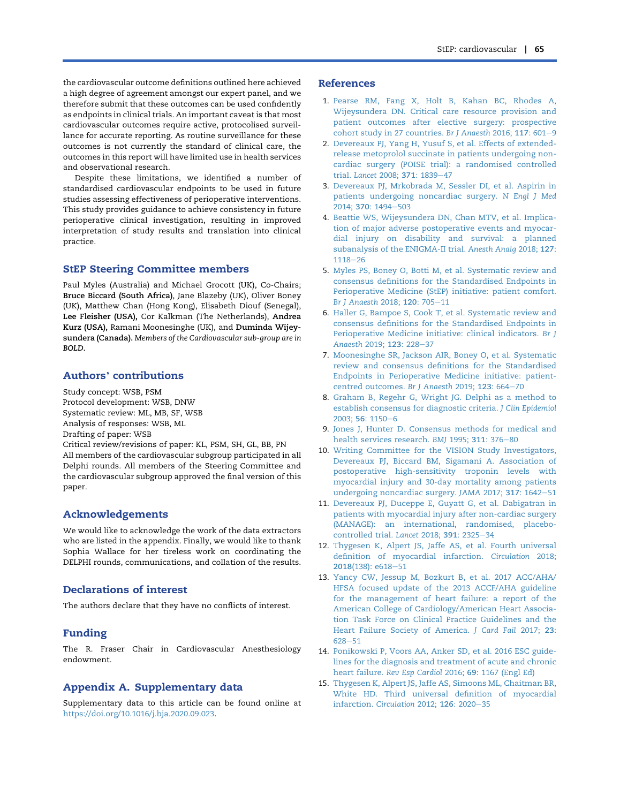the cardiovascular outcome definitions outlined here achieved a high degree of agreement amongst our expert panel, and we therefore submit that these outcomes can be used confidently as endpoints in clinical trials. An important caveat is that most cardiovascular outcomes require active, protocolised surveillance for accurate reporting. As routine surveillance for these outcomes is not currently the standard of clinical care, the outcomes in this report will have limited use in health services and observational research.

Despite these limitations, we identified a number of standardised cardiovascular endpoints to be used in future studies assessing effectiveness of perioperative interventions. This study provides guidance to achieve consistency in future perioperative clinical investigation, resulting in improved interpretation of study results and translation into clinical practice.

## StEP Steering Committee members

Paul Myles (Australia) and Michael Grocott (UK), Co-Chairs; Bruce Biccard (South Africa), Jane Blazeby (UK), Oliver Boney (UK), Matthew Chan (Hong Kong), Elisabeth Diouf (Senegal), Lee Fleisher (USA), Cor Kalkman (The Netherlands), Andrea Kurz (USA), Ramani Moonesinghe (UK), and Duminda Wijeysundera (Canada). Members of the Cardiovascular sub-group are in BOLD.

# Authors' contributions

Study concept: WSB, PSM Protocol development: WSB, DNW Systematic review: ML, MB, SF, WSB Analysis of responses: WSB, ML Drafting of paper: WSB Critical review/revisions of paper: KL, PSM, SH, GL, BB, PN All members of the cardiovascular subgroup participated in all

Delphi rounds. All members of the Steering Committee and the cardiovascular subgroup approved the final version of this paper.

### Acknowledgements

We would like to acknowledge the work of the data extractors who are listed in the appendix. Finally, we would like to thank Sophia Wallace for her tireless work on coordinating the DELPHI rounds, communications, and collation of the results.

## Declarations of interest

The authors declare that they have no conflicts of interest.

## Funding

The R. Fraser Chair in Cardiovascular Anesthesiology endowment.

## Appendix A. Supplementary data

Supplementary data to this article can be found online at [https://doi.org/10.1016/j.bja.2020.09.023.](https://doi.org/10.1016/j.bja.2020.09.023)

### References

- <span id="page-9-0"></span>1. [Pearse RM, Fang X, Holt B, Kahan BC, Rhodes A,](http://refhub.elsevier.com/S0007-0912(20)30780-7/sref1) [Wijeysundera DN. Critical care resource provision and](http://refhub.elsevier.com/S0007-0912(20)30780-7/sref1) [patient outcomes after elective surgery: prospective](http://refhub.elsevier.com/S0007-0912(20)30780-7/sref1) [cohort study in 27 countries.](http://refhub.elsevier.com/S0007-0912(20)30780-7/sref1) Br J Anaesth 2016;  $117: 601-9$  $117: 601-9$
- <span id="page-9-1"></span>2. [Devereaux PJ, Yang H, Yusuf S, et al. Effects of extended](http://refhub.elsevier.com/S0007-0912(20)30780-7/sref2)[release metoprolol succinate in patients undergoing non](http://refhub.elsevier.com/S0007-0912(20)30780-7/sref2)[cardiac surgery \(POISE trial\): a randomised controlled](http://refhub.elsevier.com/S0007-0912(20)30780-7/sref2) trial. [Lancet](http://refhub.elsevier.com/S0007-0912(20)30780-7/sref2) 2008; 371: 1839-[47](http://refhub.elsevier.com/S0007-0912(20)30780-7/sref2)
- 3. [Devereaux PJ, Mrkobrada M, Sessler DI, et al. Aspirin in](http://refhub.elsevier.com/S0007-0912(20)30780-7/sref3) [patients undergoing noncardiac surgery.](http://refhub.elsevier.com/S0007-0912(20)30780-7/sref3) N Engl J Med 2014: 370[: 1494](http://refhub.elsevier.com/S0007-0912(20)30780-7/sref3)-[503](http://refhub.elsevier.com/S0007-0912(20)30780-7/sref3)
- <span id="page-9-13"></span>4. [Beattie WS, Wijeysundera DN, Chan MTV, et al. Implica](http://refhub.elsevier.com/S0007-0912(20)30780-7/sref4)[tion of major adverse postoperative events and myocar](http://refhub.elsevier.com/S0007-0912(20)30780-7/sref4)[dial injury on disability and survival: a planned](http://refhub.elsevier.com/S0007-0912(20)30780-7/sref4) [subanalysis of the ENIGMA-II trial.](http://refhub.elsevier.com/S0007-0912(20)30780-7/sref4) Anesth Analg 2018; 127:  $1118 - 26$  $1118 - 26$  $1118 - 26$
- <span id="page-9-2"></span>5. [Myles PS, Boney O, Botti M, et al. Systematic review and](http://refhub.elsevier.com/S0007-0912(20)30780-7/sref5) [consensus definitions for the Standardised Endpoints in](http://refhub.elsevier.com/S0007-0912(20)30780-7/sref5) [Perioperative Medicine \(StEP\) initiative: patient comfort.](http://refhub.elsevier.com/S0007-0912(20)30780-7/sref5) [Br J Anaesth](http://refhub.elsevier.com/S0007-0912(20)30780-7/sref5) 2018; 120: 705-[11](http://refhub.elsevier.com/S0007-0912(20)30780-7/sref5)
- <span id="page-9-3"></span>6. [Haller G, Bampoe S, Cook T, et al. Systematic review and](http://refhub.elsevier.com/S0007-0912(20)30780-7/sref6) [consensus definitions for the Standardised Endpoints in](http://refhub.elsevier.com/S0007-0912(20)30780-7/sref6) [Perioperative Medicine initiative: clinical indicators.](http://refhub.elsevier.com/S0007-0912(20)30780-7/sref6) Br J [Anaesth](http://refhub.elsevier.com/S0007-0912(20)30780-7/sref6) 2019; 123: 228-[37](http://refhub.elsevier.com/S0007-0912(20)30780-7/sref6)
- <span id="page-9-4"></span>7. [Moonesinghe SR, Jackson AIR, Boney O, et al. Systematic](http://refhub.elsevier.com/S0007-0912(20)30780-7/sref7) [review and consensus definitions for the Standardised](http://refhub.elsevier.com/S0007-0912(20)30780-7/sref7) [Endpoints in Perioperative Medicine initiative: patient](http://refhub.elsevier.com/S0007-0912(20)30780-7/sref7)[centred outcomes.](http://refhub.elsevier.com/S0007-0912(20)30780-7/sref7) Br J Anaesth 2019; 123: 664-[70](http://refhub.elsevier.com/S0007-0912(20)30780-7/sref7)
- <span id="page-9-5"></span>8. [Graham B, Regehr G, Wright JG. Delphi as a method to](http://refhub.elsevier.com/S0007-0912(20)30780-7/sref8) [establish consensus for diagnostic criteria.](http://refhub.elsevier.com/S0007-0912(20)30780-7/sref8) J Clin Epidemiol 2003; 56[: 1150](http://refhub.elsevier.com/S0007-0912(20)30780-7/sref8)-[6](http://refhub.elsevier.com/S0007-0912(20)30780-7/sref8)
- <span id="page-9-6"></span>9. [Jones J, Hunter D. Consensus methods for medical and](http://refhub.elsevier.com/S0007-0912(20)30780-7/sref9) [health services research.](http://refhub.elsevier.com/S0007-0912(20)30780-7/sref9) BMJ 1995; 311: 376-[80](http://refhub.elsevier.com/S0007-0912(20)30780-7/sref9)
- <span id="page-9-7"></span>10. [Writing Committee for the VISION Study Investigators,](http://refhub.elsevier.com/S0007-0912(20)30780-7/sref10) [Devereaux PJ, Biccard BM, Sigamani A. Association of](http://refhub.elsevier.com/S0007-0912(20)30780-7/sref10) [postoperative high-sensitivity troponin levels with](http://refhub.elsevier.com/S0007-0912(20)30780-7/sref10) [myocardial injury and 30-day mortality among patients](http://refhub.elsevier.com/S0007-0912(20)30780-7/sref10) [undergoing noncardiac surgery.](http://refhub.elsevier.com/S0007-0912(20)30780-7/sref10) JAMA 2017; 317: 1642-[51](http://refhub.elsevier.com/S0007-0912(20)30780-7/sref10)
- <span id="page-9-8"></span>11. [Devereaux PJ, Duceppe E, Guyatt G, et al. Dabigatran in](http://refhub.elsevier.com/S0007-0912(20)30780-7/sref11) [patients with myocardial injury after non-cardiac surgery](http://refhub.elsevier.com/S0007-0912(20)30780-7/sref11) [\(MANAGE\): an international, randomised, placebo](http://refhub.elsevier.com/S0007-0912(20)30780-7/sref11)[controlled trial.](http://refhub.elsevier.com/S0007-0912(20)30780-7/sref11) Lancet 2018; 391: 2325-[34](http://refhub.elsevier.com/S0007-0912(20)30780-7/sref11)
- <span id="page-9-9"></span>12. [Thygesen K, Alpert JS, Jaffe AS, et al. Fourth universal](http://refhub.elsevier.com/S0007-0912(20)30780-7/sref12) [definition of myocardial infarction.](http://refhub.elsevier.com/S0007-0912(20)30780-7/sref12) Circulation 2018; 2018[\(138\): e618](http://refhub.elsevier.com/S0007-0912(20)30780-7/sref12)-[51](http://refhub.elsevier.com/S0007-0912(20)30780-7/sref12)
- <span id="page-9-10"></span>13. [Yancy CW, Jessup M, Bozkurt B, et al. 2017 ACC/AHA/](http://refhub.elsevier.com/S0007-0912(20)30780-7/sref13) [HFSA focused update of the 2013 ACCF/AHA guideline](http://refhub.elsevier.com/S0007-0912(20)30780-7/sref13) [for the management of heart failure: a report of the](http://refhub.elsevier.com/S0007-0912(20)30780-7/sref13) [American College of Cardiology/American Heart Associa](http://refhub.elsevier.com/S0007-0912(20)30780-7/sref13)[tion Task Force on Clinical Practice Guidelines and the](http://refhub.elsevier.com/S0007-0912(20)30780-7/sref13) [Heart Failure Society of America.](http://refhub.elsevier.com/S0007-0912(20)30780-7/sref13) J Card Fail 2017; 23: [628](http://refhub.elsevier.com/S0007-0912(20)30780-7/sref13)-[51](http://refhub.elsevier.com/S0007-0912(20)30780-7/sref13)
- <span id="page-9-11"></span>14. [Ponikowski P, Voors AA, Anker SD, et al. 2016 ESC guide](http://refhub.elsevier.com/S0007-0912(20)30780-7/sref14)[lines for the diagnosis and treatment of acute and chronic](http://refhub.elsevier.com/S0007-0912(20)30780-7/sref14) heart failure. Rev Esp Cardiol 2016; 69[: 1167 \(Engl Ed\)](http://refhub.elsevier.com/S0007-0912(20)30780-7/sref14)
- <span id="page-9-12"></span>15. [Thygesen K, Alpert JS, Jaffe AS, Simoons ML, Chaitman BR,](http://refhub.elsevier.com/S0007-0912(20)30780-7/sref15) [White HD. Third universal definition of myocardial](http://refhub.elsevier.com/S0007-0912(20)30780-7/sref15) [infarction.](http://refhub.elsevier.com/S0007-0912(20)30780-7/sref15) Circulation 2012;  $126: 2020 - 35$  $126: 2020 - 35$